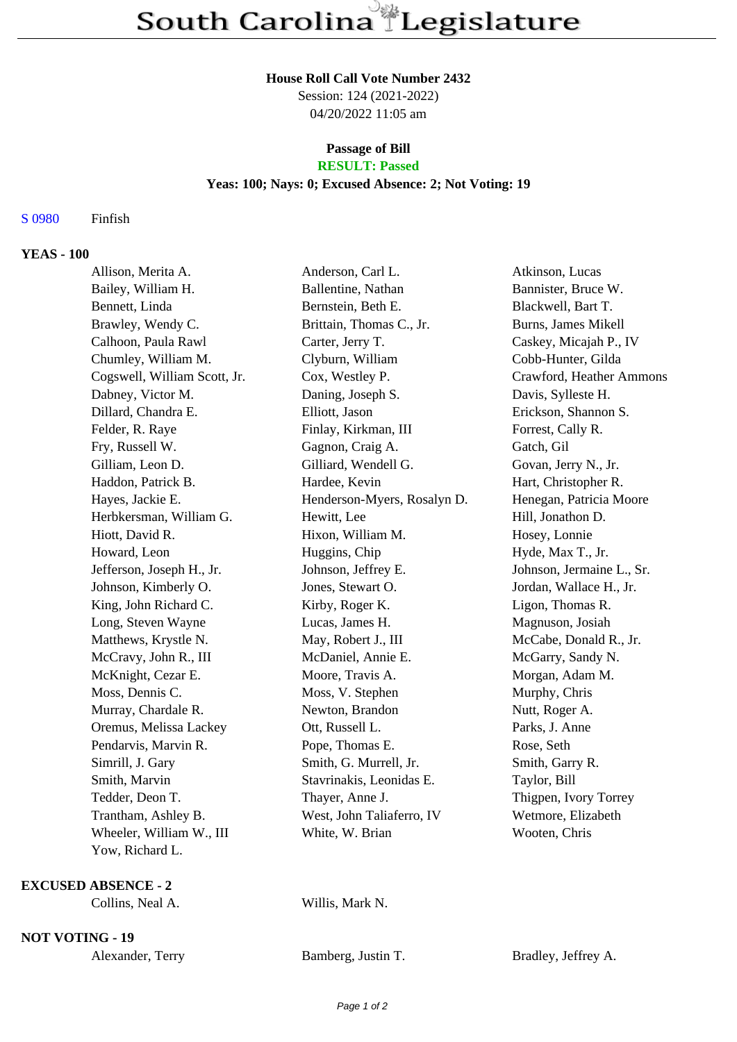#### **House Roll Call Vote Number 2432**

Session: 124 (2021-2022) 04/20/2022 11:05 am

# **Passage of Bill**

# **RESULT: Passed**

### **Yeas: 100; Nays: 0; Excused Absence: 2; Not Voting: 19**

### S 0980 Finfish

#### **YEAS - 100**

| Allison, Merita A.           | Anderson, Carl L.           | Atkinson, Lucas           |
|------------------------------|-----------------------------|---------------------------|
| Bailey, William H.           | Ballentine, Nathan          | Bannister, Bruce W.       |
| Bennett, Linda               | Bernstein, Beth E.          | Blackwell, Bart T.        |
| Brawley, Wendy C.            | Brittain, Thomas C., Jr.    | Burns, James Mikell       |
| Calhoon, Paula Rawl          | Carter, Jerry T.            | Caskey, Micajah P., IV    |
| Chumley, William M.          | Clyburn, William            | Cobb-Hunter, Gilda        |
| Cogswell, William Scott, Jr. | Cox, Westley P.             | Crawford, Heather Ammons  |
| Dabney, Victor M.            | Daning, Joseph S.           | Davis, Sylleste H.        |
| Dillard, Chandra E.          | Elliott, Jason              | Erickson, Shannon S.      |
| Felder, R. Raye              | Finlay, Kirkman, III        | Forrest, Cally R.         |
| Fry, Russell W.              | Gagnon, Craig A.            | Gatch, Gil                |
| Gilliam, Leon D.             | Gilliard, Wendell G.        | Govan, Jerry N., Jr.      |
| Haddon, Patrick B.           | Hardee, Kevin               | Hart, Christopher R.      |
| Hayes, Jackie E.             | Henderson-Myers, Rosalyn D. | Henegan, Patricia Moore   |
| Herbkersman, William G.      | Hewitt, Lee                 | Hill, Jonathon D.         |
| Hiott, David R.              | Hixon, William M.           | Hosey, Lonnie             |
| Howard, Leon                 | Huggins, Chip               | Hyde, Max T., Jr.         |
| Jefferson, Joseph H., Jr.    | Johnson, Jeffrey E.         | Johnson, Jermaine L., Sr. |
| Johnson, Kimberly O.         | Jones, Stewart O.           | Jordan, Wallace H., Jr.   |
| King, John Richard C.        | Kirby, Roger K.             | Ligon, Thomas R.          |
| Long, Steven Wayne           | Lucas, James H.             | Magnuson, Josiah          |
| Matthews, Krystle N.         | May, Robert J., III         | McCabe, Donald R., Jr.    |
| McCravy, John R., III        | McDaniel, Annie E.          | McGarry, Sandy N.         |
| McKnight, Cezar E.           | Moore, Travis A.            | Morgan, Adam M.           |
| Moss, Dennis C.              | Moss, V. Stephen            | Murphy, Chris             |
| Murray, Chardale R.          | Newton, Brandon             | Nutt, Roger A.            |
| Oremus, Melissa Lackey       | Ott, Russell L.             | Parks, J. Anne            |
| Pendarvis, Marvin R.         | Pope, Thomas E.             | Rose, Seth                |
| Simrill, J. Gary             | Smith, G. Murrell, Jr.      | Smith, Garry R.           |
| Smith, Marvin                | Stavrinakis, Leonidas E.    | Taylor, Bill              |
| Tedder, Deon T.              | Thayer, Anne J.             | Thigpen, Ivory Torrey     |
| Trantham, Ashley B.          | West, John Taliaferro, IV   | Wetmore, Elizabeth        |
| Wheeler, William W., III     | White, W. Brian             | Wooten, Chris             |
| Yow, Richard L.              |                             |                           |

### **EXCUSED ABSENCE - 2**

Willis, Mark N.

**NOT VOTING - 19**

| Alexander, Terry |  |
|------------------|--|
|------------------|--|

Bamberg, Justin T. Bradley, Jeffrey A.